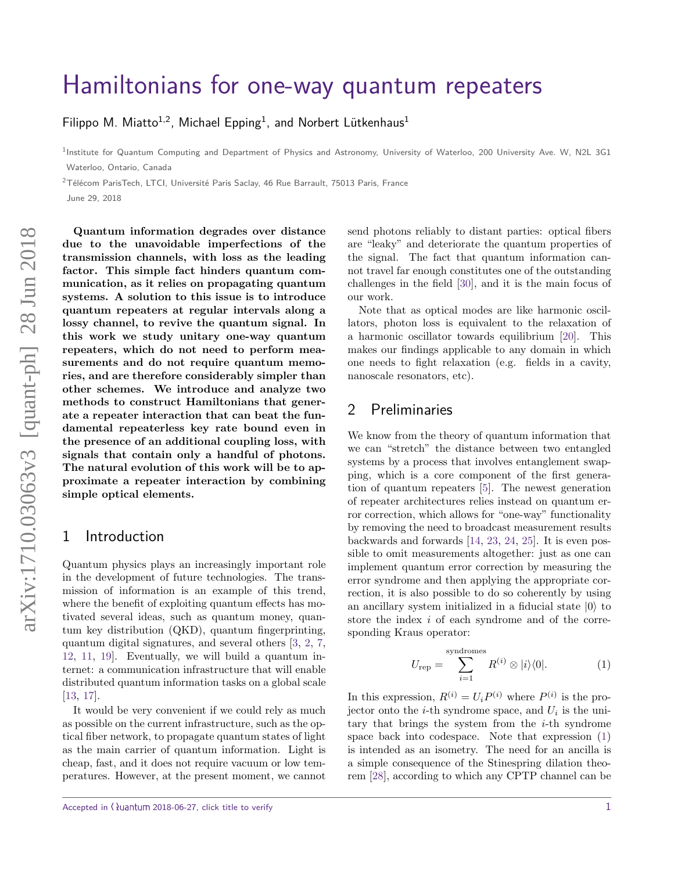# [Hamiltonians for one-way quantum repeaters](http://quantum-journal.org/?s=Hamiltonians%20for%20one-way%20quantum%20repeaters&reason=title-click)

[Filippo M. Miatto](https://orcid.org/0000-0002-6684-8341)<sup>1,2</sup>, Michael Epping<sup>1</sup>, and Norbert Lütkenhaus<sup>1</sup>

<sup>1</sup>Institute for Quantum Computing and Department of Physics and Astronomy, University of Waterloo, 200 University Ave. W, N2L 3G1 Waterloo, Ontario, Canada

 $2$ Télécom ParisTech, LTCI, Université Paris Saclay, 46 Rue Barrault, 75013 Paris, France

June 29, 2018

**Quantum information degrades over distance due to the unavoidable imperfections of the transmission channels, with loss as the leading factor. This simple fact hinders quantum communication, as it relies on propagating quantum systems. A solution to this issue is to introduce quantum repeaters at regular intervals along a lossy channel, to revive the quantum signal. In this work we study unitary one-way quantum repeaters, which do not need to perform measurements and do not require quantum memories, and are therefore considerably simpler than other schemes. We introduce and analyze two methods to construct Hamiltonians that generate a repeater interaction that can beat the fundamental repeaterless key rate bound even in the presence of an additional coupling loss, with signals that contain only a handful of photons. The natural evolution of this work will be to approximate a repeater interaction by combining simple optical elements.**

### 1 Introduction

Quantum physics plays an increasingly important role in the development of future technologies. The transmission of information is an example of this trend, where the benefit of exploiting quantum effects has motivated several ideas, such as quantum money, quantum key distribution (QKD), quantum fingerprinting, quantum digital signatures, and several others [\[3,](#page-6-0) [2,](#page-5-0) [7,](#page-6-1) [12,](#page-6-2) [11,](#page-6-3) [19\]](#page-6-4). Eventually, we will build a quantum internet: a communication infrastructure that will enable distributed quantum information tasks on a global scale [\[13,](#page-6-5) [17\]](#page-6-6).

It would be very convenient if we could rely as much as possible on the current infrastructure, such as the optical fiber network, to propagate quantum states of light as the main carrier of quantum information. Light is cheap, fast, and it does not require vacuum or low temperatures. However, at the present moment, we cannot

Accepted in  $\langle \rangle$ uantum 2018-06-27, click title to verify 1

send photons reliably to distant parties: optical fibers are "leaky" and deteriorate the quantum properties of the signal. The fact that quantum information cannot travel far enough constitutes one of the outstanding challenges in the field [\[30\]](#page-7-0), and it is the main focus of our work.

Note that as optical modes are like harmonic oscillators, photon loss is equivalent to the relaxation of a harmonic oscillator towards equilibrium [\[20\]](#page-6-7). This makes our findings applicable to any domain in which one needs to fight relaxation (e.g. fields in a cavity, nanoscale resonators, etc).

## 2 Preliminaries

We know from the theory of quantum information that we can "stretch" the distance between two entangled systems by a process that involves entanglement swapping, which is a core component of the first generation of quantum repeaters [\[5\]](#page-6-8). The newest generation of repeater architectures relies instead on quantum error correction, which allows for "one-way" functionality by removing the need to broadcast measurement results backwards and forwards [\[14,](#page-6-9) [23,](#page-6-10) [24,](#page-6-11) [25\]](#page-6-12). It is even possible to omit measurements altogether: just as one can implement quantum error correction by measuring the error syndrome and then applying the appropriate correction, it is also possible to do so coherently by using an ancillary system initialized in a fiducial state  $|0\rangle$  to store the index *i* of each syndrome and of the corresponding Kraus operator:

<span id="page-0-0"></span>
$$
U_{\text{rep}} = \sum_{i=1}^{\text{syndromes}} R^{(i)} \otimes |i\rangle\langle 0|.
$$
 (1)

In this expression,  $R^{(i)} = U_i P^{(i)}$  where  $P^{(i)}$  is the projector onto the *i*-th syndrome space, and *U<sup>i</sup>* is the unitary that brings the system from the *i*-th syndrome space back into codespace. Note that expression [\(1\)](#page-0-0) is intended as an isometry. The need for an ancilla is a simple consequence of the Stinespring dilation theorem [\[28\]](#page-7-1), according to which any CPTP channel can be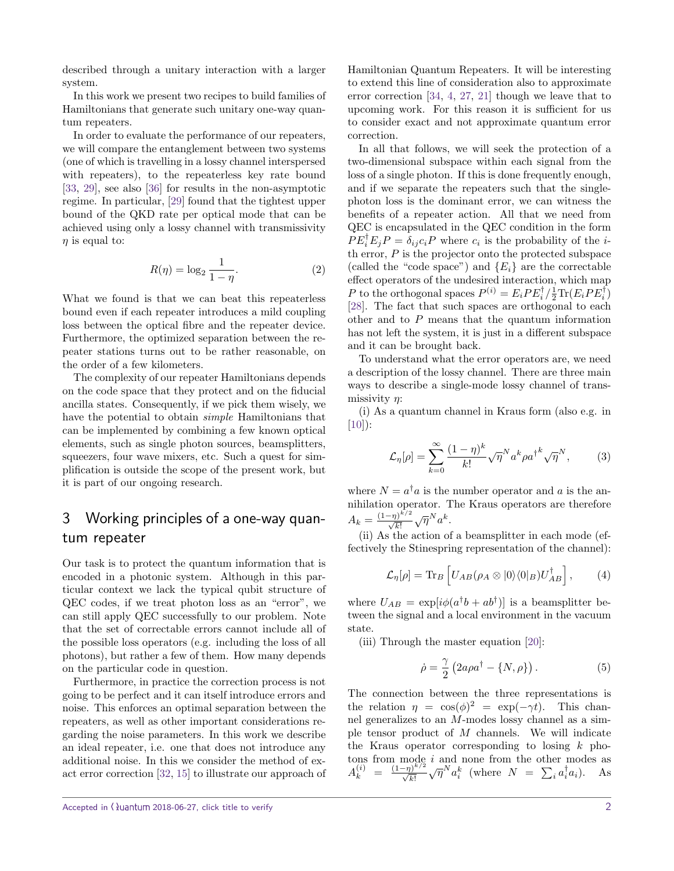described through a unitary interaction with a larger system.

In this work we present two recipes to build families of Hamiltonians that generate such unitary one-way quantum repeaters.

In order to evaluate the performance of our repeaters, we will compare the entanglement between two systems (one of which is travelling in a lossy channel interspersed with repeaters), to the repeaterless key rate bound [\[33,](#page-7-2) [29\]](#page-7-3), see also [\[36\]](#page-7-4) for results in the non-asymptotic regime. In particular, [\[29\]](#page-7-3) found that the tightest upper bound of the QKD rate per optical mode that can be achieved using only a lossy channel with transmissivity *η* is equal to:

$$
R(\eta) = \log_2 \frac{1}{1 - \eta}.\tag{2}
$$

What we found is that we can beat this repeaterless bound even if each repeater introduces a mild coupling loss between the optical fibre and the repeater device. Furthermore, the optimized separation between the repeater stations turns out to be rather reasonable, on the order of a few kilometers.

The complexity of our repeater Hamiltonians depends on the code space that they protect and on the fiducial ancilla states. Consequently, if we pick them wisely, we have the potential to obtain *simple* Hamiltonians that can be implemented by combining a few known optical elements, such as single photon sources, beamsplitters, squeezers, four wave mixers, etc. Such a quest for simplification is outside the scope of the present work, but it is part of our ongoing research.

# 3 Working principles of a one-way quantum repeater

Our task is to protect the quantum information that is encoded in a photonic system. Although in this particular context we lack the typical qubit structure of QEC codes, if we treat photon loss as an "error", we can still apply QEC successfully to our problem. Note that the set of correctable errors cannot include all of the possible loss operators (e.g. including the loss of all photons), but rather a few of them. How many depends on the particular code in question.

Furthermore, in practice the correction process is not going to be perfect and it can itself introduce errors and noise. This enforces an optimal separation between the repeaters, as well as other important considerations regarding the noise parameters. In this work we describe an ideal repeater, i.e. one that does not introduce any additional noise. In this we consider the method of exact error correction [\[32,](#page-7-5) [15\]](#page-6-13) to illustrate our approach of Hamiltonian Quantum Repeaters. It will be interesting to extend this line of consideration also to approximate error correction [\[34,](#page-7-6) [4,](#page-6-14) [27,](#page-7-7) [21\]](#page-6-15) though we leave that to upcoming work. For this reason it is sufficient for us to consider exact and not approximate quantum error correction.

In all that follows, we will seek the protection of a two-dimensional subspace within each signal from the loss of a single photon. If this is done frequently enough, and if we separate the repeaters such that the singlephoton loss is the dominant error, we can witness the benefits of a repeater action. All that we need from QEC is encapsulated in the QEC condition in the form  $PE_i^{\dagger} E_j P = \delta_{ij} c_i P$  where  $c_i$  is the probability of the *i*th error, *P* is the projector onto the protected subspace (called the "code space") and  ${E<sub>i</sub>}$  are the correctable effect operators of the undesired interaction, which map *P* to the orthogonal spaces  $P^{(i)} = E_i P E_i^{\dagger} / \frac{1}{2} \text{Tr}(E_i P E_i^{\dagger})$ [\[28\]](#page-7-1). The fact that such spaces are orthogonal to each other and to *P* means that the quantum information has not left the system, it is just in a different subspace and it can be brought back.

To understand what the error operators are, we need a description of the lossy channel. There are three main ways to describe a single-mode lossy channel of transmissivity *η*:

(i) As a quantum channel in Kraus form (also e.g. in  $[10]$ :

<span id="page-1-0"></span>
$$
\mathcal{L}_{\eta}[\rho] = \sum_{k=0}^{\infty} \frac{(1-\eta)^k}{k!} \sqrt{\eta}^N a^k \rho a^{\dagger k} \sqrt{\eta}^N, \tag{3}
$$

where  $N = a^{\dagger}a$  is the number operator and *a* is the annihilation operator. The Kraus operators are therefore  $A_k = \frac{(1-\eta)^{k/2}}{\sqrt{k!}} \sqrt{\eta}^N a^k.$ 

(ii) As the action of a beamsplitter in each mode (effectively the Stinespring representation of the channel):

$$
\mathcal{L}_{\eta}[\rho] = \text{Tr}_{B} \left[ U_{AB}(\rho_{A} \otimes |0\rangle\langle0|_{B}) U_{AB}^{\dagger} \right], \qquad (4)
$$

where  $U_{AB} = \exp[i\phi(a^{\dagger}b + ab^{\dagger})]$  is a beamsplitter between the signal and a local environment in the vacuum state.

(iii) Through the master equation [\[20\]](#page-6-7):

$$
\dot{\rho} = \frac{\gamma}{2} \left( 2a\rho a^{\dagger} - \{ N, \rho \} \right). \tag{5}
$$

The connection between the three representations is the relation  $\eta = \cos(\phi)^2 = \exp(-\gamma t)$ . This channel generalizes to an *M*-modes lossy channel as a simple tensor product of *M* channels. We will indicate the Kraus operator corresponding to losing *k* photons from mode *i* and none from the other modes as  $A_k^{(i)} = \frac{(1-\eta)^{k/2}}{\sqrt{k!}} \sqrt{\eta^N} a_i^k$  (where  $N = \sum_i a_i^{\dagger} a_i$ ). As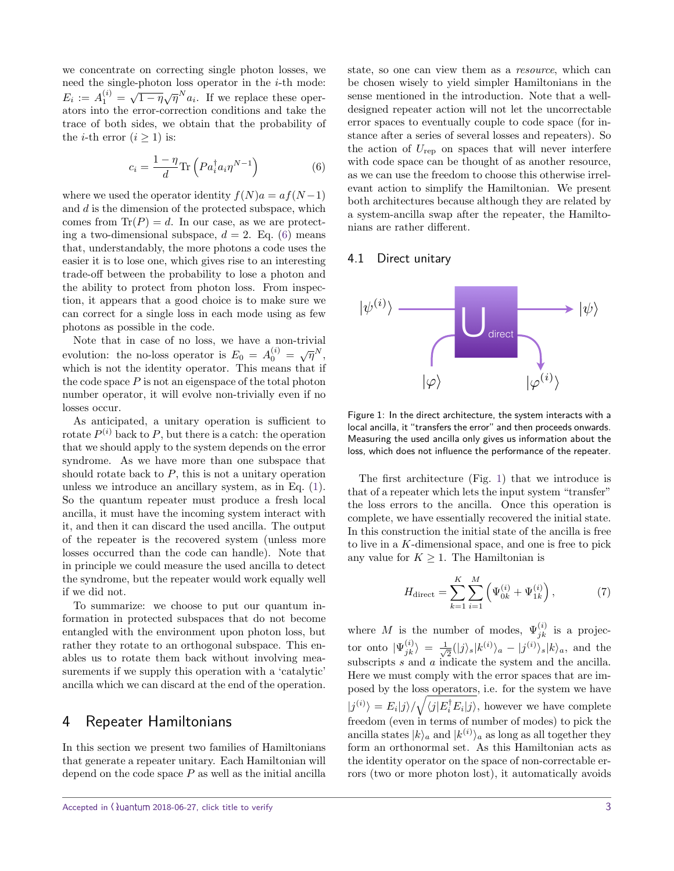we concentrate on correcting single photon losses, we need the single-photon loss operator in the *i*-th mode:  $E_i := A_1^{(i)} = \sqrt{1 - \eta} \sqrt{\eta} N_{a_i}$ . If we replace these operators into the error-correction conditions and take the trace of both sides, we obtain that the probability of the *i*-th error  $(i \geq 1)$  is:

$$
c_i = \frac{1 - \eta}{d} \text{Tr} \left( P a_i^\dagger a_i \eta^{N-1} \right) \tag{6}
$$

where we used the operator identity  $f(N)a = af(N-1)$ and *d* is the dimension of the protected subspace, which comes from  $\text{Tr}(P) = d$ . In our case, as we are protecting a two-dimensional subspace,  $d = 2$ . Eq. [\(6\)](#page-2-0) means that, understandably, the more photons a code uses the easier it is to lose one, which gives rise to an interesting trade-off between the probability to lose a photon and the ability to protect from photon loss. From inspection, it appears that a good choice is to make sure we can correct for a single loss in each mode using as few photons as possible in the code.

Note that in case of no loss, we have a non-trivial evolution: the no-loss operator is  $E_0 = A_0^{(i)} = \sqrt{\eta}^N$ , which is not the identity operator. This means that if the code space  $P$  is not an eigenspace of the total photon number operator, it will evolve non-trivially even if no losses occur.

As anticipated, a unitary operation is sufficient to rotate  $P^{(i)}$  back to  $P$ , but there is a catch: the operation that we should apply to the system depends on the error syndrome. As we have more than one subspace that should rotate back to *P*, this is not a unitary operation unless we introduce an ancillary system, as in Eq. [\(1\)](#page-0-0). So the quantum repeater must produce a fresh local ancilla, it must have the incoming system interact with it, and then it can discard the used ancilla. The output of the repeater is the recovered system (unless more losses occurred than the code can handle). Note that in principle we could measure the used ancilla to detect the syndrome, but the repeater would work equally well if we did not.

To summarize: we choose to put our quantum information in protected subspaces that do not become entangled with the environment upon photon loss, but rather they rotate to an orthogonal subspace. This enables us to rotate them back without involving measurements if we supply this operation with a 'catalytic' ancilla which we can discard at the end of the operation.

## 4 Repeater Hamiltonians

In this section we present two families of Hamiltonians that generate a repeater unitary. Each Hamiltonian will depend on the code space *P* as well as the initial ancilla <span id="page-2-0"></span>state, so one can view them as a resource, which can be chosen wisely to yield simpler Hamiltonians in the sense mentioned in the introduction. Note that a welldesigned repeater action will not let the uncorrectable error spaces to eventually couple to code space (for instance after a series of several losses and repeaters). So the action of  $U_{\text{rep}}$  on spaces that will never interfere with code space can be thought of as another resource, as we can use the freedom to choose this otherwise irrelevant action to simplify the Hamiltonian. We present both architectures because although they are related by a system-ancilla swap after the repeater, the Hamiltonians are rather different.

#### 4.1 Direct unitary



<span id="page-2-1"></span>Figure 1: In the direct architecture, the system interacts with a local ancilla, it "transfers the error" and then proceeds onwards. Measuring the used ancilla only gives us information about the loss, which does not influence the performance of the repeater.

The first architecture (Fig. [1\)](#page-2-1) that we introduce is that of a repeater which lets the input system "transfer" the loss errors to the ancilla. Once this operation is complete, we have essentially recovered the initial state. In this construction the initial state of the ancilla is free to live in a *K*-dimensional space, and one is free to pick any value for  $K \geq 1$ . The Hamiltonian is

$$
H_{\text{direct}} = \sum_{k=1}^{K} \sum_{i=1}^{M} \left( \Psi_{0k}^{(i)} + \Psi_{1k}^{(i)} \right), \tag{7}
$$

where *M* is the number of modes,  $\Psi_{jk}^{(i)}$  is a projector onto  $|\Psi_{jk}^{(i)}\rangle = \frac{1}{\sqrt{3}}$  $\frac{1}{2}(|j\rangle_s|k^{(i)}\rangle_a - |j^{(i)}\rangle_s|k\rangle_a$ , and the subscripts *s* and *a* indicate the system and the ancilla. Here we must comply with the error spaces that are imposed by the loss operators, i.e. for the system we have  $|j^{(i)}\rangle = E_i|j\rangle/\sqrt{\langle j|E_i^{\dagger}E_i|j\rangle}$ , however we have complete freedom (even in terms of number of modes) to pick the ancilla states  $|k\rangle_a$  and  $|k^{(i)}\rangle_a$  as long as all together they form an orthonormal set. As this Hamiltonian acts as the identity operator on the space of non-correctable errors (two or more photon lost), it automatically avoids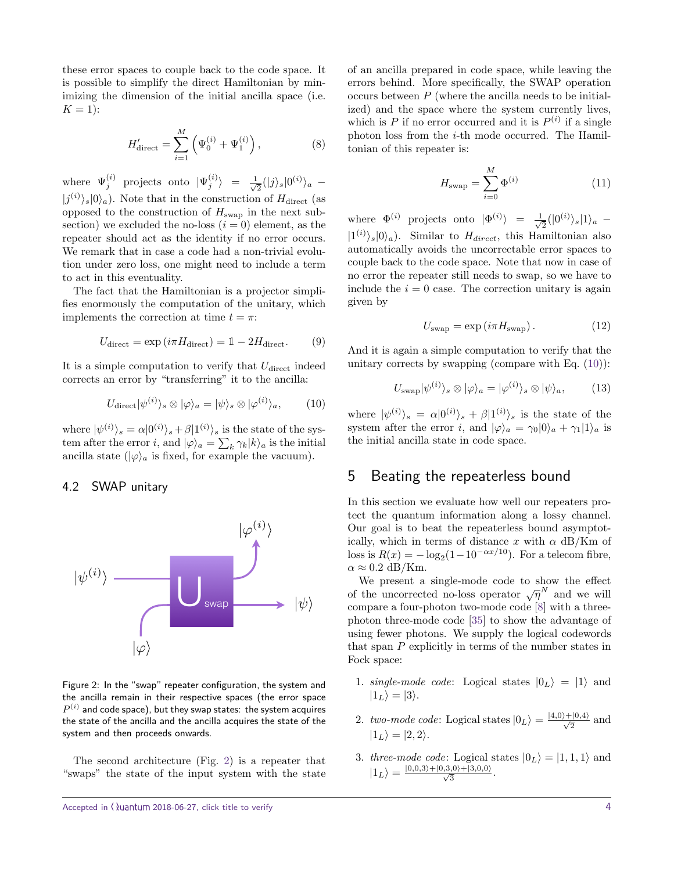these error spaces to couple back to the code space. It is possible to simplify the direct Hamiltonian by minimizing the dimension of the initial ancilla space (i.e.  $K = 1$ :

$$
H'_{\text{direct}} = \sum_{i=1}^{M} \left( \Psi_0^{(i)} + \Psi_1^{(i)} \right), \tag{8}
$$

where  $\Psi_j^{(i)}$  projects onto  $|\Psi_j^{(i)}\rangle = \frac{1}{\sqrt{3}}$  $\frac{1}{2}(|j\rangle_s|0^{(i)}\rangle_a$  –  $|j^{(i)}\rangle_s|0\rangle_a$ ). Note that in the construction of  $H_{\text{direct}}$  (as opposed to the construction of  $H_{swap}$  in the next subsection) we excluded the no-loss  $(i = 0)$  element, as the repeater should act as the identity if no error occurs. We remark that in case a code had a non-trivial evolution under zero loss, one might need to include a term to act in this eventuality.

The fact that the Hamiltonian is a projector simplifies enormously the computation of the unitary, which implements the correction at time  $t = \pi$ :

$$
U_{\text{direct}} = \exp\left(i\pi H_{\text{direct}}\right) = 1 - 2H_{\text{direct}}.\tag{9}
$$

It is a simple computation to verify that  $U_{\text{direct}}$  indeed corrects an error by "transferring" it to the ancilla:

$$
U_{\text{direct}}|\psi^{(i)}\rangle_s \otimes |\varphi\rangle_a = |\psi\rangle_s \otimes |\varphi^{(i)}\rangle_a, \qquad (10)
$$

where  $|\psi^{(i)}\rangle_s = \alpha|0^{(i)}\rangle_s + \beta|1^{(i)}\rangle_s$  is the state of the system after the error *i*, and  $|\varphi\rangle_a = \sum_k \gamma_k |k\rangle_a$  is the initial ancilla state  $(|\varphi\rangle_a$  is fixed, for example the vacuum).

#### 4.2 SWAP unitary



<span id="page-3-0"></span>Figure 2: In the "swap" repeater configuration, the system and the ancilla remain in their respective spaces (the error space  $P^{\left( i\right) }$  and code space), but they swap states: the system acquires the state of the ancilla and the ancilla acquires the state of the system and then proceeds onwards.

The second architecture (Fig. [2\)](#page-3-0) is a repeater that "swaps" the state of the input system with the state of an ancilla prepared in code space, while leaving the errors behind. More specifically, the SWAP operation occurs between *P* (where the ancilla needs to be initialized) and the space where the system currently lives, which is  $P$  if no error occurred and it is  $P^{(i)}$  if a single photon loss from the *i*-th mode occurred. The Hamiltonian of this repeater is:

$$
H_{\text{swap}} = \sum_{i=0}^{M} \Phi^{(i)} \tag{11}
$$

where  $\Phi^{(i)}$  projects onto  $|\Phi^{(i)}\rangle = \frac{1}{\sqrt{2}}$  $\frac{1}{2}(|0^{(i)}\rangle_s|1\rangle_a$  −  $|1^{(i)}\rangle_s|0\rangle_a$ ). Similar to *H*<sub>direct</sub>, this Hamiltonian also automatically avoids the uncorrectable error spaces to couple back to the code space. Note that now in case of no error the repeater still needs to swap, so we have to include the  $i = 0$  case. The correction unitary is again given by

$$
U_{\text{swap}} = \exp\left(i\pi H_{\text{swap}}\right). \tag{12}
$$

And it is again a simple computation to verify that the unitary corrects by swapping (compare with Eq.  $(10)$ ):

$$
U_{\text{swap}}|\psi^{(i)}\rangle_s \otimes |\varphi\rangle_a = |\varphi^{(i)}\rangle_s \otimes |\psi\rangle_a, \tag{13}
$$

<span id="page-3-1"></span>where  $|\psi^{(i)}\rangle_s = \alpha|0^{(i)}\rangle_s + \beta|1^{(i)}\rangle_s$  is the state of the system after the error *i*, and  $|\varphi\rangle_a = \gamma_0 |0\rangle_a + \gamma_1 |1\rangle_a$  is the initial ancilla state in code space.

# 5 Beating the repeaterless bound

In this section we evaluate how well our repeaters protect the quantum information along a lossy channel. Our goal is to beat the repeaterless bound asymptotically, which in terms of distance *x* with *α* dB/Km of loss is  $R(x) = -\log_2(1 - 10^{-\alpha x/10})$ . For a telecom fibre,  $\alpha \approx 0.2$  dB/Km.

We present a single-mode code to show the effect of the uncorrected no-loss operator  $\sqrt{\eta}^N$  and we will compare a four-photon two-mode code [\[8\]](#page-6-17) with a threephoton three-mode code [\[35\]](#page-7-8) to show the advantage of using fewer photons. We supply the logical codewords that span *P* explicitly in terms of the number states in Fock space:

- 1. single-mode code: Logical states  $|0_L\rangle = |1\rangle$  and  $|1_L\rangle = |3\rangle$ .
- 2. two-mode code: Logical states  $|0_L\rangle = \frac{|4,0\rangle + |0,4\rangle}{\sqrt{2}}$  and  $|1_L\rangle = |2, 2\rangle.$
- 3. three-mode code: Logical states  $|0_L\rangle = |1, 1, 1\rangle$  and  $|1_L\rangle = \frac{|0,0,3\rangle + |0,3,0\rangle + |3,0,0\rangle}{\sqrt{3}}.$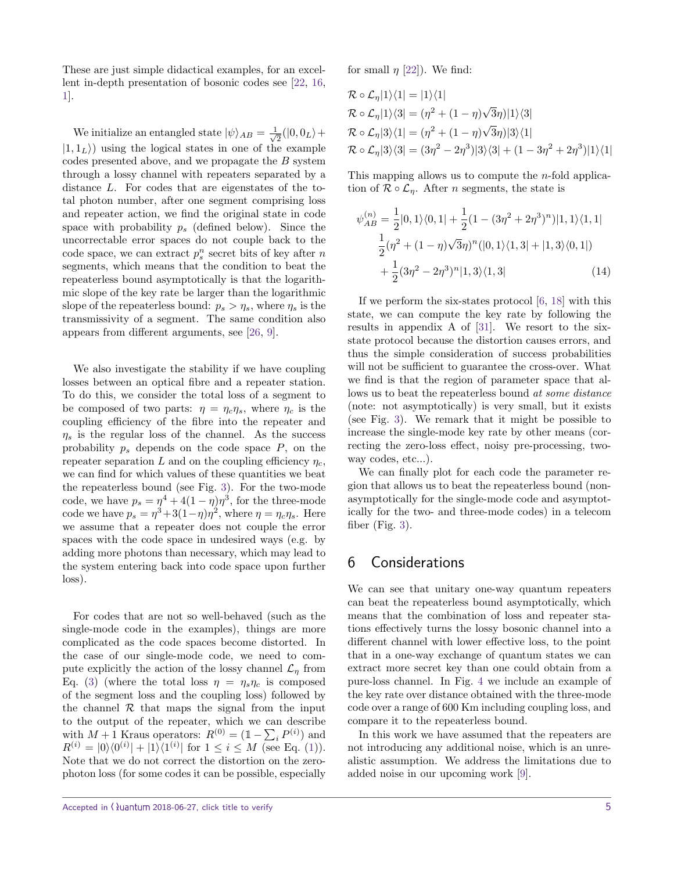These are just simple didactical examples, for an excellent in-depth presentation of bosonic codes see [\[22,](#page-6-18) [16,](#page-6-19) [1\]](#page-5-1).

We initialize an entangled state  $|\psi\rangle_{AB} = \frac{1}{\sqrt{2}}$  $\frac{1}{2}(|0,0_L\rangle +$  $|1, 1_L\rangle$  using the logical states in one of the example codes presented above, and we propagate the *B* system through a lossy channel with repeaters separated by a distance *L*. For codes that are eigenstates of the total photon number, after one segment comprising loss and repeater action, we find the original state in code space with probability *p<sup>s</sup>* (defined below). Since the uncorrectable error spaces do not couple back to the code space, we can extract  $p_s^n$  secret bits of key after  $n$ segments, which means that the condition to beat the repeaterless bound asymptotically is that the logarithmic slope of the key rate be larger than the logarithmic slope of the repeaterless bound:  $p_s > \eta_s$ , where  $\eta_s$  is the transmissivity of a segment. The same condition also appears from different arguments, see [\[26,](#page-6-20) [9\]](#page-6-21).

We also investigate the stability if we have coupling losses between an optical fibre and a repeater station. To do this, we consider the total loss of a segment to be composed of two parts:  $\eta = \eta_c \eta_s$ , where  $\eta_c$  is the coupling efficiency of the fibre into the repeater and  $\eta_s$  is the regular loss of the channel. As the success probability *p<sup>s</sup>* depends on the code space *P*, on the repeater separation *L* and on the coupling efficiency *ηc*, we can find for which values of these quantities we beat the repeaterless bound (see Fig. [3\)](#page-5-2). For the two-mode code, we have  $p_s = \eta^4 + 4(1 - \eta)\eta^3$ , for the three-mode code we have  $p_s = \eta^3 + 3(1-\eta)\eta^2$ , where  $\eta = \eta_c \eta_s$ . Here we assume that a repeater does not couple the error spaces with the code space in undesired ways (e.g. by adding more photons than necessary, which may lead to the system entering back into code space upon further loss).

For codes that are not so well-behaved (such as the single-mode code in the examples), things are more complicated as the code spaces become distorted. In the case of our single-mode code, we need to compute explicitly the action of the lossy channel  $\mathcal{L}_{\eta}$  from Eq. [\(3\)](#page-1-0) (where the total loss  $\eta = \eta_s \eta_c$  is composed of the segment loss and the coupling loss) followed by the channel  $R$  that maps the signal from the input to the output of the repeater, which we can describe with  $M + 1$  Kraus operators:  $R^{(0)} = (\mathbb{1} - \sum_i P^{(i)})$  and  $R^{(i)} = |0\rangle\langle0^{(i)}| + |1\rangle\langle1^{(i)}|$  for  $1 \leq i \leq M$  (see Eq. [\(1\)](#page-0-0)). Note that we do not correct the distortion on the zerophoton loss (for some codes it can be possible, especially for small  $\eta$  [\[22\]](#page-6-18)). We find:

$$
\mathcal{R} \circ \mathcal{L}_{\eta}|1\rangle\langle 1| = |1\rangle\langle 1|
$$
  
\n
$$
\mathcal{R} \circ \mathcal{L}_{\eta}|1\rangle\langle 3| = (\eta^2 + (1 - \eta)\sqrt{3}\eta)|1\rangle\langle 3|
$$
  
\n
$$
\mathcal{R} \circ \mathcal{L}_{\eta}|3\rangle\langle 1| = (\eta^2 + (1 - \eta)\sqrt{3}\eta)|3\rangle\langle 1|
$$
  
\n
$$
\mathcal{R} \circ \mathcal{L}_{\eta}|3\rangle\langle 3| = (3\eta^2 - 2\eta^3)|3\rangle\langle 3| + (1 - 3\eta^2 + 2\eta^3)|1\rangle\langle 1|
$$

This mapping allows us to compute the *n*-fold application of  $\mathcal{R} \circ \mathcal{L}_n$ . After *n* segments, the state is

$$
\psi_{AB}^{(n)} = \frac{1}{2}|0,1\rangle\langle0,1| + \frac{1}{2}(1 - (3\eta^2 + 2\eta^3)^n)|1,1\rangle\langle1,1|
$$
  

$$
\frac{1}{2}(\eta^2 + (1 - \eta)\sqrt{3}\eta)^n(|0,1\rangle\langle1,3| + |1,3\rangle\langle0,1|)
$$
  

$$
+\frac{1}{2}(3\eta^2 - 2\eta^3)^n|1,3\rangle\langle1,3|
$$
 (14)

If we perform the six-states protocol [\[6,](#page-6-22) [18\]](#page-6-23) with this state, we can compute the key rate by following the results in appendix A of [\[31\]](#page-7-9). We resort to the sixstate protocol because the distortion causes errors, and thus the simple consideration of success probabilities will not be sufficient to guarantee the cross-over. What we find is that the region of parameter space that allows us to beat the repeaterless bound at some distance (note: not asymptotically) is very small, but it exists (see Fig. [3\)](#page-5-2). We remark that it might be possible to increase the single-mode key rate by other means (correcting the zero-loss effect, noisy pre-processing, twoway codes, etc...).

We can finally plot for each code the parameter region that allows us to beat the repeaterless bound (nonasymptotically for the single-mode code and asymptotically for the two- and three-mode codes) in a telecom fiber (Fig. [3\)](#page-5-2).

# 6 Considerations

We can see that unitary one-way quantum repeaters can beat the repeaterless bound asymptotically, which means that the combination of loss and repeater stations effectively turns the lossy bosonic channel into a different channel with lower effective loss, to the point that in a one-way exchange of quantum states we can extract more secret key than one could obtain from a pure-loss channel. In Fig. [4](#page-5-3) we include an example of the key rate over distance obtained with the three-mode code over a range of 600 Km including coupling loss, and compare it to the repeaterless bound.

In this work we have assumed that the repeaters are not introducing any additional noise, which is an unrealistic assumption. We address the limitations due to added noise in our upcoming work [\[9\]](#page-6-21).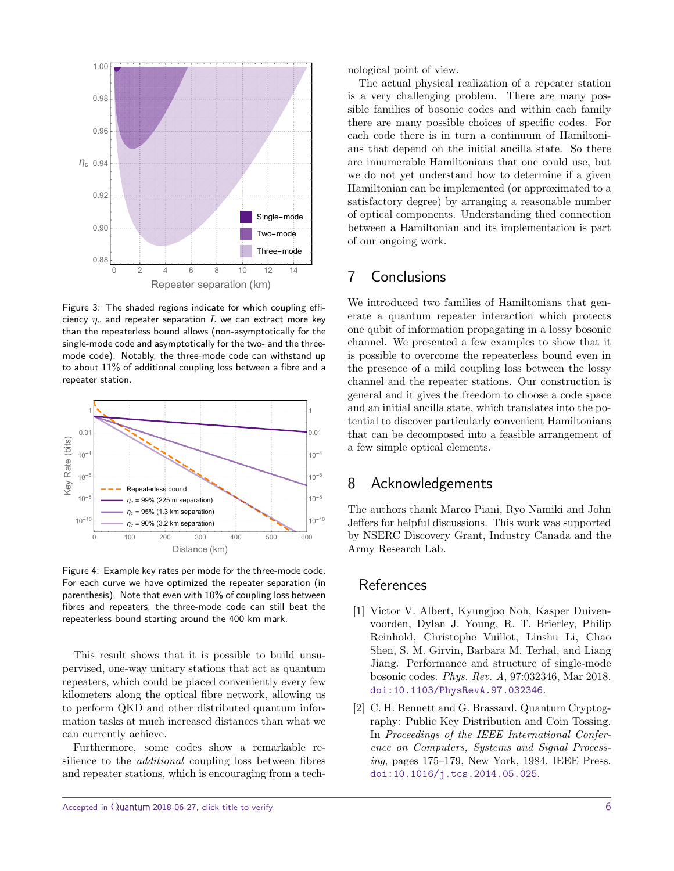

<span id="page-5-2"></span>Figure 3: The shaded regions indicate for which coupling efficiency  $\eta_c$  and repeater separation  $L$  we can extract more key than the repeaterless bound allows (non-asymptotically for the single-mode code and asymptotically for the two- and the threemode code). Notably, the three-mode code can withstand up to about 11% of additional coupling loss between a fibre and a repeater station.



<span id="page-5-3"></span>Figure 4: Example key rates per mode for the three-mode code. For each curve we have optimized the repeater separation (in parenthesis). Note that even with 10% of coupling loss between fibres and repeaters, the three-mode code can still beat the repeaterless bound starting around the 400 km mark.

This result shows that it is possible to build unsupervised, one-way unitary stations that act as quantum repeaters, which could be placed conveniently every few kilometers along the optical fibre network, allowing us to perform QKD and other distributed quantum information tasks at much increased distances than what we can currently achieve.

Furthermore, some codes show a remarkable resilience to the additional coupling loss between fibres and repeater stations, which is encouraging from a technological point of view.

The actual physical realization of a repeater station is a very challenging problem. There are many possible families of bosonic codes and within each family there are many possible choices of specific codes. For each code there is in turn a continuum of Hamiltonians that depend on the initial ancilla state. So there are innumerable Hamiltonians that one could use, but we do not yet understand how to determine if a given Hamiltonian can be implemented (or approximated to a satisfactory degree) by arranging a reasonable number of optical components. Understanding thed connection between a Hamiltonian and its implementation is part of our ongoing work.

## 7 Conclusions

We introduced two families of Hamiltonians that generate a quantum repeater interaction which protects one qubit of information propagating in a lossy bosonic channel. We presented a few examples to show that it is possible to overcome the repeaterless bound even in the presence of a mild coupling loss between the lossy channel and the repeater stations. Our construction is general and it gives the freedom to choose a code space and an initial ancilla state, which translates into the potential to discover particularly convenient Hamiltonians that can be decomposed into a feasible arrangement of a few simple optical elements.

## 8 Acknowledgements

The authors thank Marco Piani, Ryo Namiki and John Jeffers for helpful discussions. This work was supported by NSERC Discovery Grant, Industry Canada and the Army Research Lab.

#### **References**

- <span id="page-5-1"></span>[1] Victor V. Albert, Kyungjoo Noh, Kasper Duivenvoorden, Dylan J. Young, R. T. Brierley, Philip Reinhold, Christophe Vuillot, Linshu Li, Chao Shen, S. M. Girvin, Barbara M. Terhal, and Liang Jiang. Performance and structure of single-mode bosonic codes. Phys. Rev. A, 97:032346, Mar 2018. [doi:10.1103/PhysRevA.97.032346](http://dx.doi.org/10.1103/PhysRevA.97.032346).
- <span id="page-5-0"></span>[2] C. H. Bennett and G. Brassard. Quantum Cryptography: Public Key Distribution and Coin Tossing. In Proceedings of the IEEE International Conference on Computers, Systems and Signal Processing, pages 175–179, New York, 1984. IEEE Press. [doi:10.1016/j.tcs.2014.05.025](http://dx.doi.org/10.1016/j.tcs.2014.05.025).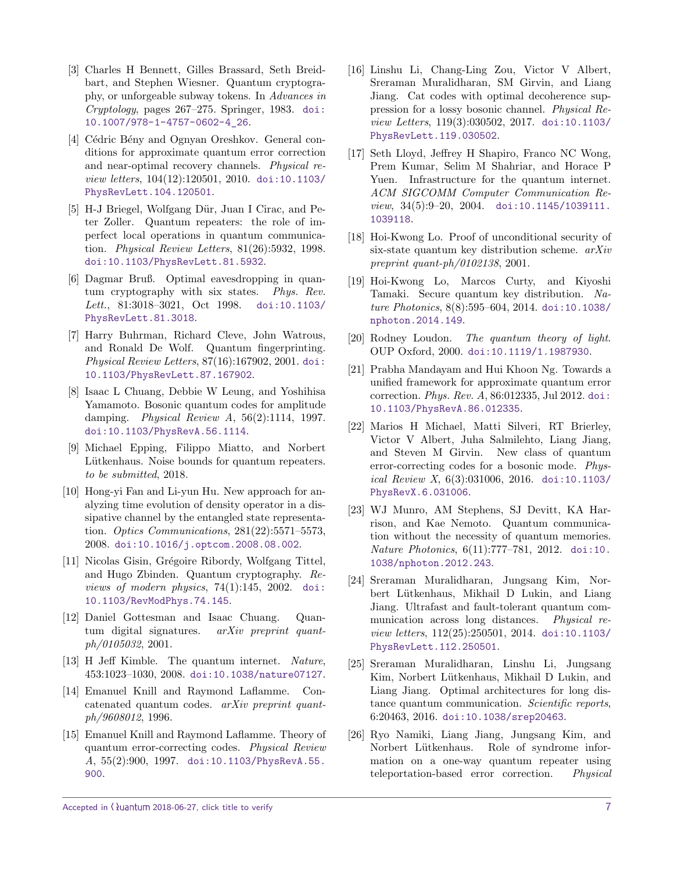- <span id="page-6-0"></span>[3] Charles H Bennett, Gilles Brassard, Seth Breidbart, and Stephen Wiesner. Quantum cryptography, or unforgeable subway tokens. In Advances in Cryptology, pages 267–275. Springer, 1983. [doi:](http://dx.doi.org/10.1007/978-1-4757-0602-4_26) [10.1007/978-1-4757-0602-4\\_26](http://dx.doi.org/10.1007/978-1-4757-0602-4_26).
- <span id="page-6-14"></span>[4] Cédric Bény and Ognyan Oreshkov. General conditions for approximate quantum error correction and near-optimal recovery channels. Physical review letters, 104(12):120501, 2010. [doi:10.1103/](http://dx.doi.org/10.1103/PhysRevLett.104.120501) [PhysRevLett.104.120501](http://dx.doi.org/10.1103/PhysRevLett.104.120501).
- <span id="page-6-8"></span>[5] H-J Briegel, Wolfgang Dür, Juan I Cirac, and Peter Zoller. Quantum repeaters: the role of imperfect local operations in quantum communication. Physical Review Letters, 81(26):5932, 1998. [doi:10.1103/PhysRevLett.81.5932](http://dx.doi.org/10.1103/PhysRevLett.81.5932).
- <span id="page-6-22"></span>[6] Dagmar Bruß. Optimal eavesdropping in quantum cryptography with six states. Phys. Rev. Lett., 81:3018-3021, Oct 1998. [doi:10.1103/](http://dx.doi.org/10.1103/PhysRevLett.81.3018) [PhysRevLett.81.3018](http://dx.doi.org/10.1103/PhysRevLett.81.3018).
- <span id="page-6-1"></span>[7] Harry Buhrman, Richard Cleve, John Watrous, and Ronald De Wolf. Quantum fingerprinting. Physical Review Letters, 87(16):167902, 2001. [doi:](http://dx.doi.org/10.1103/PhysRevLett.87.167902) [10.1103/PhysRevLett.87.167902](http://dx.doi.org/10.1103/PhysRevLett.87.167902).
- <span id="page-6-17"></span>[8] Isaac L Chuang, Debbie W Leung, and Yoshihisa Yamamoto. Bosonic quantum codes for amplitude damping. Physical Review A, 56(2):1114, 1997. [doi:10.1103/PhysRevA.56.1114](http://dx.doi.org/10.1103/PhysRevA.56.1114).
- <span id="page-6-21"></span>[9] Michael Epping, Filippo Miatto, and Norbert Lütkenhaus. Noise bounds for quantum repeaters. to be submitted, 2018.
- <span id="page-6-16"></span>[10] Hong-yi Fan and Li-yun Hu. New approach for analyzing time evolution of density operator in a dissipative channel by the entangled state representation. Optics Communications, 281(22):5571–5573, 2008. [doi:10.1016/j.optcom.2008.08.002](http://dx.doi.org/10.1016/j.optcom.2008.08.002).
- <span id="page-6-3"></span>[11] Nicolas Gisin, Grégoire Ribordy, Wolfgang Tittel, and Hugo Zbinden. Quantum cryptography. Reviews of modern physics, 74(1):145, 2002. [doi:](http://dx.doi.org/10.1103/RevModPhys.74.145) [10.1103/RevModPhys.74.145](http://dx.doi.org/10.1103/RevModPhys.74.145).
- <span id="page-6-2"></span>[12] Daniel Gottesman and Isaac Chuang. Quantum digital signatures. *arXiv preprint quant*ph/0105032, 2001.
- <span id="page-6-5"></span>[13] H Jeff Kimble. The quantum internet. Nature, 453:1023–1030, 2008. [doi:10.1038/nature07127](http://dx.doi.org/10.1038/nature07127).
- <span id="page-6-9"></span>[14] Emanuel Knill and Raymond Laflamme. Concatenated quantum codes. arXiv preprint quantph/9608012, 1996.
- <span id="page-6-13"></span>[15] Emanuel Knill and Raymond Laflamme. Theory of quantum error-correcting codes. Physical Review A, 55(2):900, 1997. [doi:10.1103/PhysRevA.55.](http://dx.doi.org/10.1103/PhysRevA.55.900) [900](http://dx.doi.org/10.1103/PhysRevA.55.900).
- <span id="page-6-19"></span>[16] Linshu Li, Chang-Ling Zou, Victor V Albert, Sreraman Muralidharan, SM Girvin, and Liang Jiang. Cat codes with optimal decoherence suppression for a lossy bosonic channel. Physical Review Letters, 119(3):030502, 2017. [doi:10.1103/](http://dx.doi.org/10.1103/PhysRevLett.119.030502) [PhysRevLett.119.030502](http://dx.doi.org/10.1103/PhysRevLett.119.030502).
- <span id="page-6-6"></span>[17] Seth Lloyd, Jeffrey H Shapiro, Franco NC Wong, Prem Kumar, Selim M Shahriar, and Horace P Yuen. Infrastructure for the quantum internet. ACM SIGCOMM Computer Communication Re $view, 34(5):9-20, 2004. \quad \text{doi:10.1145/1039111}.$ [1039118](http://dx.doi.org/10.1145/1039111.1039118).
- <span id="page-6-23"></span>[18] Hoi-Kwong Lo. Proof of unconditional security of six-state quantum key distribution scheme. arXiv preprint quant-ph/0102138, 2001.
- <span id="page-6-4"></span>[19] Hoi-Kwong Lo, Marcos Curty, and Kiyoshi Tamaki. Secure quantum key distribution. Nature Photonics, 8(8):595–604, 2014. [doi:10.1038/](http://dx.doi.org/10.1038/nphoton.2014.149) [nphoton.2014.149](http://dx.doi.org/10.1038/nphoton.2014.149).
- <span id="page-6-7"></span>[20] Rodney Loudon. The quantum theory of light. OUP Oxford, 2000. [doi:10.1119/1.1987930](http://dx.doi.org/10.1119/1.1987930).
- <span id="page-6-15"></span>[21] Prabha Mandayam and Hui Khoon Ng. Towards a unified framework for approximate quantum error correction. Phys. Rev. A, 86:012335, Jul 2012. [doi:](http://dx.doi.org/10.1103/PhysRevA.86.012335) [10.1103/PhysRevA.86.012335](http://dx.doi.org/10.1103/PhysRevA.86.012335).
- <span id="page-6-18"></span>[22] Marios H Michael, Matti Silveri, RT Brierley, Victor V Albert, Juha Salmilehto, Liang Jiang, and Steven M Girvin. New class of quantum error-correcting codes for a bosonic mode. Physical Review X, 6(3):031006, 2016. [doi:10.1103/](http://dx.doi.org/10.1103/PhysRevX.6.031006) [PhysRevX.6.031006](http://dx.doi.org/10.1103/PhysRevX.6.031006).
- <span id="page-6-10"></span>[23] WJ Munro, AM Stephens, SJ Devitt, KA Harrison, and Kae Nemoto. Quantum communication without the necessity of quantum memories. Nature Photonics, 6(11):777–781, 2012. [doi:10.](http://dx.doi.org/10.1038/nphoton.2012.243) [1038/nphoton.2012.243](http://dx.doi.org/10.1038/nphoton.2012.243).
- <span id="page-6-11"></span>[24] Sreraman Muralidharan, Jungsang Kim, Norbert L¨utkenhaus, Mikhail D Lukin, and Liang Jiang. Ultrafast and fault-tolerant quantum communication across long distances. Physical review letters, 112(25):250501, 2014. [doi:10.1103/](http://dx.doi.org/10.1103/PhysRevLett.112.250501) [PhysRevLett.112.250501](http://dx.doi.org/10.1103/PhysRevLett.112.250501).
- <span id="page-6-12"></span>[25] Sreraman Muralidharan, Linshu Li, Jungsang Kim, Norbert Lütkenhaus, Mikhail D Lukin, and Liang Jiang. Optimal architectures for long distance quantum communication. Scientific reports, 6:20463, 2016. [doi:10.1038/srep20463](http://dx.doi.org/10.1038/srep20463).
- <span id="page-6-20"></span>[26] Ryo Namiki, Liang Jiang, Jungsang Kim, and Norbert Lütkenhaus. Role of syndrome information on a one-way quantum repeater using teleportation-based error correction. Physical